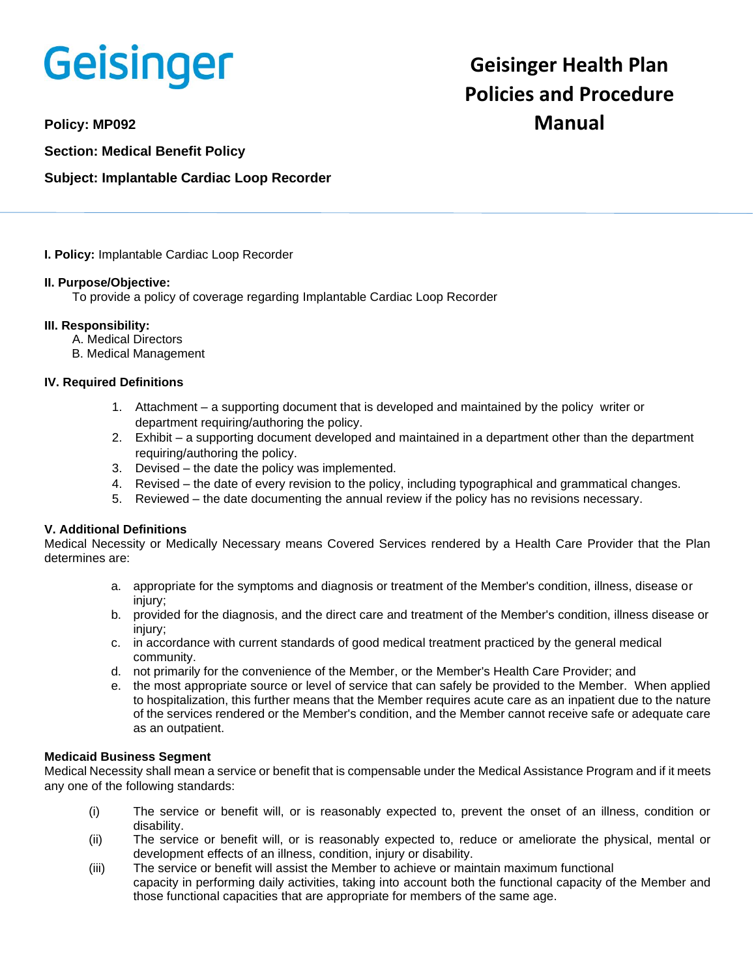# Geisinger

**Section: Medical Benefit Policy**

## **Subject: Implantable Cardiac Loop Recorder**

**I. Policy:** Implantable Cardiac Loop Recorder

## **II. Purpose/Objective:**

To provide a policy of coverage regarding Implantable Cardiac Loop Recorder

## **III. Responsibility:**

- A. Medical Directors
- B. Medical Management

## **IV. Required Definitions**

- 1. Attachment a supporting document that is developed and maintained by the policy writer or department requiring/authoring the policy.
- 2. Exhibit a supporting document developed and maintained in a department other than the department requiring/authoring the policy.
- 3. Devised the date the policy was implemented.
- 4. Revised the date of every revision to the policy, including typographical and grammatical changes.
- 5. Reviewed the date documenting the annual review if the policy has no revisions necessary.

## **V. Additional Definitions**

Medical Necessity or Medically Necessary means Covered Services rendered by a Health Care Provider that the Plan determines are:

- a. appropriate for the symptoms and diagnosis or treatment of the Member's condition, illness, disease or injury;
- b. provided for the diagnosis, and the direct care and treatment of the Member's condition, illness disease or injury;
- c. in accordance with current standards of good medical treatment practiced by the general medical community.
- d. not primarily for the convenience of the Member, or the Member's Health Care Provider; and
- e. the most appropriate source or level of service that can safely be provided to the Member. When applied to hospitalization, this further means that the Member requires acute care as an inpatient due to the nature of the services rendered or the Member's condition, and the Member cannot receive safe or adequate care as an outpatient.

## **Medicaid Business Segment**

Medical Necessity shall mean a service or benefit that is compensable under the Medical Assistance Program and if it meets any one of the following standards:

- (i) The service or benefit will, or is reasonably expected to, prevent the onset of an illness, condition or disability.
- (ii) The service or benefit will, or is reasonably expected to, reduce or ameliorate the physical, mental or development effects of an illness, condition, injury or disability.
- (iii) The service or benefit will assist the Member to achieve or maintain maximum functional capacity in performing daily activities, taking into account both the functional capacity of the Member and those functional capacities that are appropriate for members of the same age.